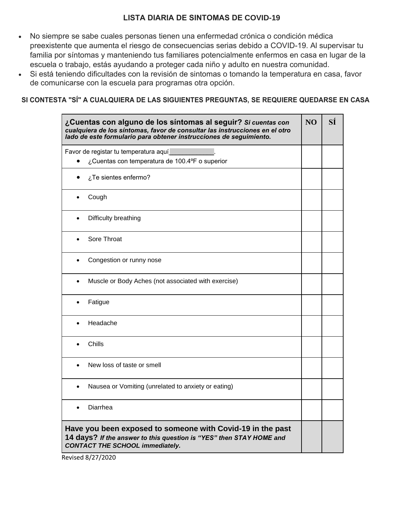## **LISTA DIARIA DE SINTOMAS DE COVID-19**

- No siempre se sabe cuales personas tienen una enfermedad crónica o condición médica preexistente que aumenta el riesgo de consecuencias serias debido a COVID-19. Al supervisar tu familia por síntomas y manteniendo tus familiares potencialmente enfermos en casa en lugar de la escuela o trabajo, estás ayudando a proteger cada niño y adulto en nuestra comunidad.
- Si está teniendo dificultades con la revisión de sintomas o tomando la temperatura en casa, favor de comunicarse con la escuela para programas otra opción.

## **SI CONTESTA "SÍ" A CUALQUIERA DE LAS SIGUIENTES PREGUNTAS, SE REQUIERE QUEDARSE EN CASA**

| ¿Cuentas con alguno de los síntomas al seguir? Si cuentas con<br>cualquiera de los síntomas, favor de consultar las instrucciones en el otro<br>lado de este formulario para obtener instrucciones de seguimiento. | N <sub>O</sub> | SÍ |
|--------------------------------------------------------------------------------------------------------------------------------------------------------------------------------------------------------------------|----------------|----|
| Favor de registar tu temperatura aquí<br>¿Cuentas con temperatura de 100.4°F o superior                                                                                                                            |                |    |
| ¿Te sientes enfermo?                                                                                                                                                                                               |                |    |
| Cough                                                                                                                                                                                                              |                |    |
| Difficulty breathing<br>$\bullet$                                                                                                                                                                                  |                |    |
| Sore Throat                                                                                                                                                                                                        |                |    |
| Congestion or runny nose                                                                                                                                                                                           |                |    |
| Muscle or Body Aches (not associated with exercise)                                                                                                                                                                |                |    |
| Fatigue                                                                                                                                                                                                            |                |    |
| Headache                                                                                                                                                                                                           |                |    |
| Chills                                                                                                                                                                                                             |                |    |
| New loss of taste or smell                                                                                                                                                                                         |                |    |
| Nausea or Vomiting (unrelated to anxiety or eating)                                                                                                                                                                |                |    |
| Diarrhea                                                                                                                                                                                                           |                |    |
| Have you been exposed to someone with Covid-19 in the past<br>14 days? If the answer to this question is "YES" then STAY HOME and<br><b>CONTACT THE SCHOOL immediately.</b>                                        |                |    |

Revised 8/27/2020